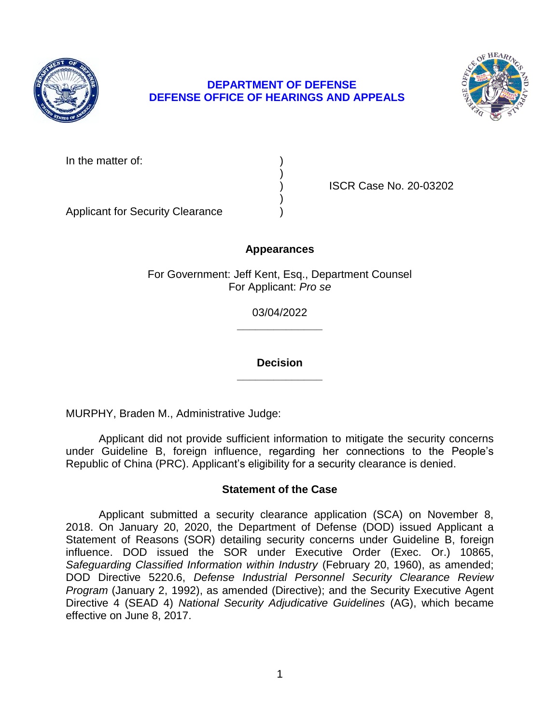

# **DEPARTMENT OF DEFENSE DEFENSE OFFICE OF HEARINGS AND APPEALS**



In the matter of:

) ISCR Case No. 20-03202

Applicant for Security Clearance )

## **Appearances**

)

)

 For Government: Jeff Kent, Esq., Department Counsel For Applicant: *Pro se* 

> **\_\_\_\_\_\_\_\_\_\_\_\_\_\_**  03/04/2022

> **\_\_\_\_\_\_\_\_\_\_\_\_\_\_ Decision**

MURPHY, Braden M., Administrative Judge:

 Applicant did not provide sufficient information to mitigate the security concerns under Guideline B, foreign influence, regarding her connections to the People's Republic of China (PRC). Applicant's eligibility for a security clearance is denied.

## **Statement of the Case**

 Applicant submitted a security clearance application (SCA) on November 8, Statement of Reasons (SOR) detailing security concerns under Guideline B, foreign Safeguarding Classified Information within Industry (February 20, 1960), as amended;  DOD Directive 5220.6, *Defense Industrial Personnel Security Clearance Review Program* (January 2, 1992), as amended (Directive); and the Security Executive Agent Directive 4 (SEAD 4) *National Security Adjudicative Guidelines* (AG), which became 2018. On January 20, 2020, the Department of Defense (DOD) issued Applicant a influence. DOD issued the SOR under Executive Order (Exec. Or.) 10865, effective on June 8, 2017.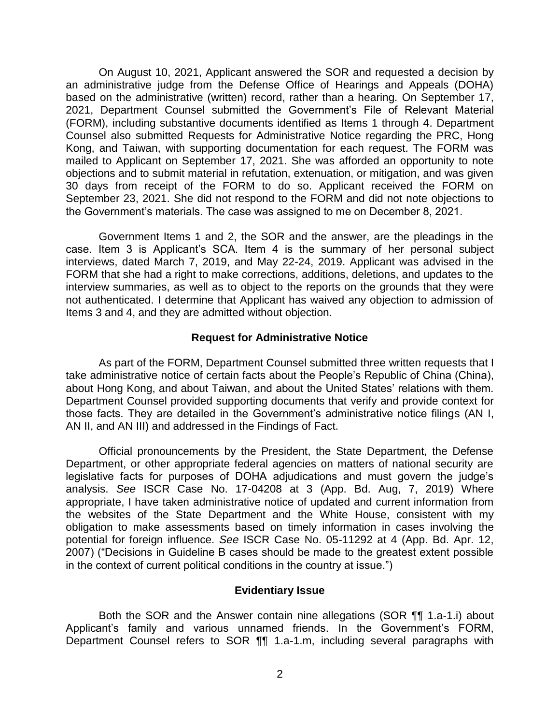On August 10, 2021, Applicant answered the SOR and requested a decision by an administrative judge from the Defense Office of Hearings and Appeals (DOHA) based on the administrative (written) record, rather than a hearing. On September 17, 2021, Department Counsel submitted the Government's File of Relevant Material (FORM), including substantive documents identified as Items 1 through 4. Department Counsel also submitted Requests for Administrative Notice regarding the PRC, Hong Kong, and Taiwan, with supporting documentation for each request. The FORM was mailed to Applicant on September 17, 2021. She was afforded an opportunity to note objections and to submit material in refutation, extenuation, or mitigation, and was given 30 days from receipt of the FORM to do so. Applicant received the FORM on September 23, 2021. She did not respond to the FORM and did not note objections to the Government's materials. The case was assigned to me on December 8, 2021.

 Government Items 1 and 2, the SOR and the answer, are the pleadings in the case. Item 3 is Applicant's SCA. Item 4 is the summary of her personal subject interviews, dated March 7, 2019, and May 22-24, 2019. Applicant was advised in the FORM that she had a right to make corrections, additions, deletions, and updates to the interview summaries, as well as to object to the reports on the grounds that they were not authenticated. I determine that Applicant has waived any objection to admission of Items 3 and 4, and they are admitted without objection.

#### **Request for Administrative Notice**

 As part of the FORM, Department Counsel submitted three written requests that I take administrative notice of certain facts about the People's Republic of China (China), about Hong Kong, and about Taiwan, and about the United States' relations with them. Department Counsel provided supporting documents that verify and provide context for those facts. They are detailed in the Government's administrative notice filings (AN I, AN II, and AN III) and addressed in the Findings of Fact.

 Official pronouncements by the President, the State Department, the Defense Department, or other appropriate federal agencies on matters of national security are legislative facts for purposes of DOHA adjudications and must govern the judge's analysis. *See* ISCR Case No. 17-04208 at 3 (App. Bd. Aug, 7, 2019) Where appropriate, I have taken administrative notice of updated and current information from the websites of the State Department and the White House, consistent with my obligation to make assessments based on timely information in cases involving the potential for foreign influence. *See* ISCR Case No. 05-11292 at 4 (App. Bd. Apr. 12, 2007) ("Decisions in Guideline B cases should be made to the greatest extent possible in the context of current political conditions in the country at issue.")

#### **Evidentiary Issue**

 Both the SOR and the Answer contain nine allegations (SOR ¶¶ 1.a-1.i) about Applicant's family and various unnamed friends. In the Government's FORM, Department Counsel refers to SOR ¶¶ 1.a-1.m, including several paragraphs with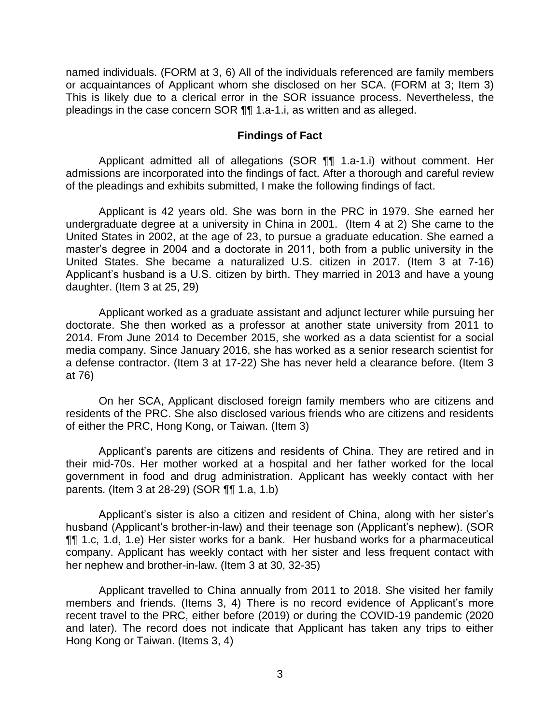named individuals. (FORM at 3, 6) All of the individuals referenced are family members or acquaintances of Applicant whom she disclosed on her SCA. (FORM at 3; Item 3) This is likely due to a clerical error in the SOR issuance process. Nevertheless, the pleadings in the case concern SOR ¶¶ 1.a-1.i, as written and as alleged.

#### **Findings of Fact**

 Applicant admitted all of allegations (SOR ¶¶ 1.a-1.i) without comment. Her admissions are incorporated into the findings of fact. After a thorough and careful review of the pleadings and exhibits submitted, I make the following findings of fact.

 Applicant is 42 years old. She was born in the PRC in 1979. She earned her undergraduate degree at a university in China in 2001. (Item 4 at 2) She came to the United States in 2002, at the age of 23, to pursue a graduate education. She earned a master's degree in 2004 and a doctorate in 2011, both from a public university in the United States. She became a naturalized U.S. citizen in 2017. (Item 3 at 7-16) Applicant's husband is a U.S. citizen by birth. They married in 2013 and have a young daughter. (Item 3 at 25, 29)

 Applicant worked as a graduate assistant and adjunct lecturer while pursuing her doctorate. She then worked as a professor at another state university from 2011 to 2014. From June 2014 to December 2015, she worked as a data scientist for a social media company. Since January 2016, she has worked as a senior research scientist for a defense contractor. (Item 3 at 17-22) She has never held a clearance before. (Item 3 at 76)

 On her SCA, Applicant disclosed foreign family members who are citizens and residents of the PRC. She also disclosed various friends who are citizens and residents of either the PRC, Hong Kong, or Taiwan. (Item 3)

 Applicant's parents are citizens and residents of China. They are retired and in their mid-70s. Her mother worked at a hospital and her father worked for the local government in food and drug administration. Applicant has weekly contact with her parents. (Item 3 at 28-29) (SOR ¶¶ 1.a, 1.b)

 Applicant's sister is also a citizen and resident of China, along with her sister's husband (Applicant's brother-in-law) and their teenage son (Applicant's nephew). (SOR ¶¶ 1.c, 1.d, 1.e) Her sister works for a bank. Her husband works for a pharmaceutical company. Applicant has weekly contact with her sister and less frequent contact with her nephew and brother-in-law. (Item 3 at 30, 32-35)

 Applicant travelled to China annually from 2011 to 2018. She visited her family members and friends. (Items 3, 4) There is no record evidence of Applicant's more recent travel to the PRC, either before (2019) or during the COVID-19 pandemic (2020 and later). The record does not indicate that Applicant has taken any trips to either Hong Kong or Taiwan. (Items 3, 4)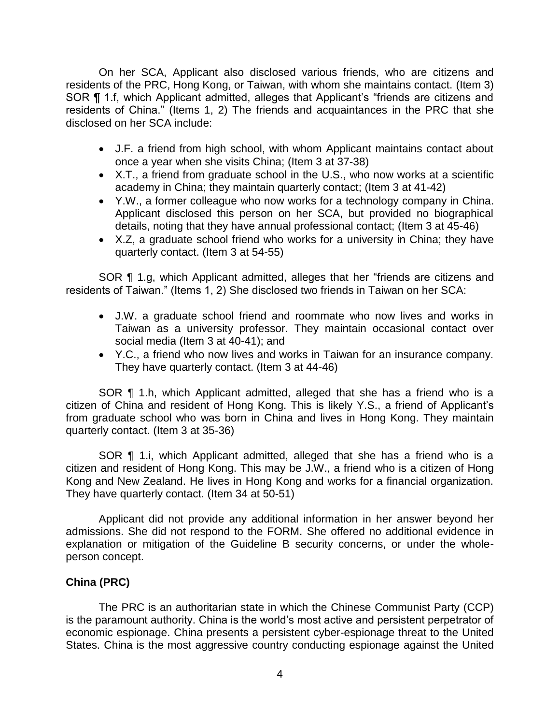On her SCA, Applicant also disclosed various friends, who are citizens and residents of the PRC, Hong Kong, or Taiwan, with whom she maintains contact. (Item 3) SOR ¶ 1.f, which Applicant admitted, alleges that Applicant's "friends are citizens and residents of China." (Items 1, 2) The friends and acquaintances in the PRC that she disclosed on her SCA include:

- J.F. a friend from high school, with whom Applicant maintains contact about once a year when she visits China; (Item 3 at 37-38)
- X.T., a friend from graduate school in the U.S., who now works at a scientific academy in China; they maintain quarterly contact; (Item 3 at 41-42)
- Y.W., a former colleague who now works for a technology company in China. Applicant disclosed this person on her SCA, but provided no biographical details, noting that they have annual professional contact; (Item 3 at 45-46)
- X.Z, a graduate school friend who works for a university in China; they have quarterly contact. (Item 3 at 54-55)

 residents of Taiwan." (Items 1, 2) She disclosed two friends in Taiwan on her SCA: SOR ¶ 1.g, which Applicant admitted, alleges that her "friends are citizens and

- J.W. a graduate school friend and roommate who now lives and works in Taiwan as a university professor. They maintain occasional contact over social media (Item 3 at 40-41); and
- Y.C., a friend who now lives and works in Taiwan for an insurance company . They have quarterly contact. (Item 3 at 44-46)

SOR ¶ 1.h, which Applicant admitted, alleged that she has a friend who is a citizen of China and resident of Hong Kong. This is likely Y.S., a friend of Applicant's from graduate school who was born in China and lives in Hong Kong. They maintain quarterly contact. (Item 3 at 35-36)

SOR ¶ 1.i, which Applicant admitted, alleged that she has a friend who is a citizen and resident of Hong Kong. This may be J.W., a friend who is a citizen of Hong Kong and New Zealand. He lives in Hong Kong and works for a financial organization. They have quarterly contact. (Item 34 at 50-51)

 Applicant did not provide any additional information in her answer beyond her admissions. She did not respond to the FORM. She offered no additional evidence in explanation or mitigation of the Guideline B security concerns, or under the wholeperson concept.

# **China (PRC)**

 The PRC is an authoritarian state in which the Chinese Communist Party (CCP) economic espionage. China presents a persistent cyber-espionage threat to the United States. China is the most aggressive country conducting espionage against the United is the paramount authority. China is the world's most active and persistent perpetrator of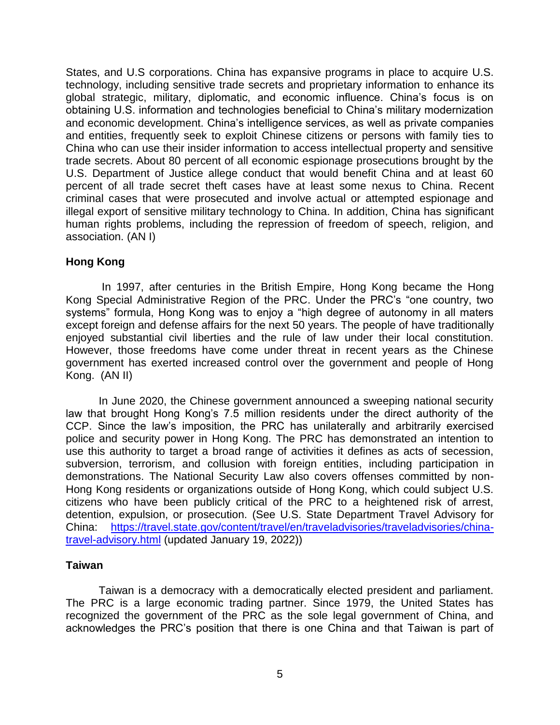States, and U.S corporations. China has expansive programs in place to acquire U.S. technology, including sensitive trade secrets and proprietary information to enhance its global strategic, military, diplomatic, and economic influence. China's focus is on obtaining U.S. information and technologies beneficial to China's military modernization and economic development. China's intelligence services, as well as private companies and entities, frequently seek to exploit Chinese citizens or persons with family ties to China who can use their insider information to access intellectual property and sensitive trade secrets. About 80 percent of all economic espionage prosecutions brought by the U.S. Department of Justice allege conduct that would benefit China and at least 60 percent of all trade secret theft cases have at least some nexus to China. Recent criminal cases that were prosecuted and involve actual or attempted espionage and illegal export of sensitive military technology to China. In addition, China has significant human rights problems, including the repression of freedom of speech, religion, and association. (AN I)

### **Hong Kong**

 In 1997, after centuries in the British Empire, Hong Kong became the Hong Kong Special Administrative Region of the PRC. Under the PRC's "one country, two systems" formula, Hong Kong was to enjoy a "high degree of autonomy in all maters except foreign and defense affairs for the next 50 years. The people of have traditionally enjoyed substantial civil liberties and the rule of law under their local constitution. However, those freedoms have come under threat in recent years as the Chinese government has exerted increased control over the government and people of Hong Kong. (AN II)

 In June 2020, the Chinese government announced a sweeping national security law that brought Hong Kong's 7.5 million residents under the direct authority of the CCP. Since the law's imposition, the PRC has unilaterally and arbitrarily exercised police and security power in Hong Kong. The PRC has demonstrated an intention to use this authority to target a broad range of activities it defines as acts of secession, subversion, terrorism, and collusion with foreign entities, including participation in demonstrations. The National Security Law also covers offenses committed by non- Hong Kong residents or organizations outside of Hong Kong, which could subject U.S. citizens who have been publicly critical of the PRC to a heightened risk of arrest, detention, expulsion, or prosecution. (See U.S. State Department Travel Advisory for China: [https://travel.state.gov/content/travel/en/traveladvisories/traveladvisories/china](https://travel.state.gov/content/travel/en/traveladvisories/traveladvisories/china-travel-advisory.html)travel-advisory.html (updated January 19, 2022))

#### **Taiwan**

 Taiwan is a democracy with a democratically elected president and parliament. The PRC is a large economic trading partner. Since 1979, the United States has recognized the government of the PRC as the sole legal government of China, and acknowledges the PRC's position that there is one China and that Taiwan is part of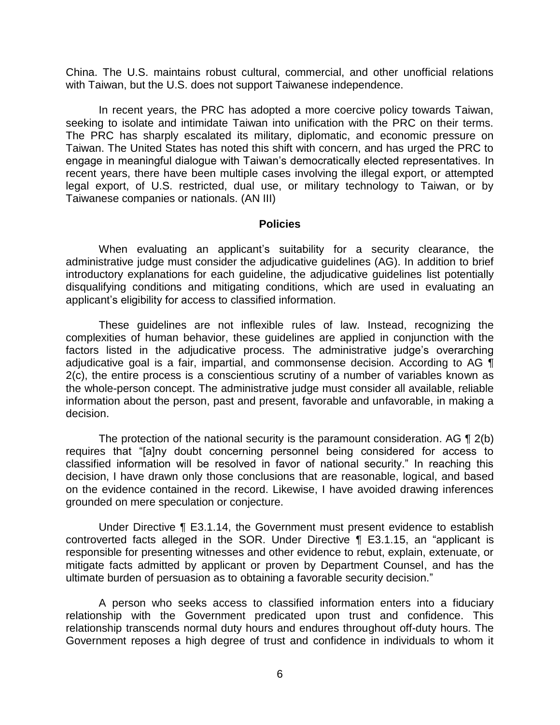China. The U.S. maintains robust cultural, commercial, and other unofficial relations with Taiwan, but the U.S. does not support Taiwanese independence.

 In recent years, the PRC has adopted a more coercive policy towards Taiwan, seeking to isolate and intimidate Taiwan into unification with the PRC on their terms. The PRC has sharply escalated its military, diplomatic, and economic pressure on Taiwan. The United States has noted this shift with concern, and has urged the PRC to engage in meaningful dialogue with Taiwan's democratically elected representatives. In recent years, there have been multiple cases involving the illegal export, or attempted legal export, of U.S. restricted, dual use, or military technology to Taiwan, or by Taiwanese companies or nationals. (AN III)

#### **Policies**

 administrative judge must consider the adjudicative guidelines (AG). In addition to brief introductory explanations for each guideline, the adjudicative guidelines list potentially disqualifying conditions and mitigating conditions, which are used in evaluating an When evaluating an applicant's suitability for a security clearance, the applicant's eligibility for access to classified information.

 These guidelines are not inflexible rules of law. Instead, recognizing the complexities of human behavior, these guidelines are applied in conjunction with the factors listed in the adjudicative process. The administrative judge's overarching adjudicative goal is a fair, impartial, and commonsense decision. According to AG ¶ 2(c), the entire process is a conscientious scrutiny of a number of variables known as the whole-person concept. The administrative judge must consider all available, reliable information about the person, past and present, favorable and unfavorable, in making a decision.

The protection of the national security is the paramount consideration. AG  $\P$  2(b) classified information will be resolved in favor of national security." In reaching this decision, I have drawn only those conclusions that are reasonable, logical, and based on the evidence contained in the record. Likewise, I have avoided drawing inferences requires that "[a]ny doubt concerning personnel being considered for access to grounded on mere speculation or conjecture.

 Under Directive ¶ E3.1.14, the Government must present evidence to establish responsible for presenting witnesses and other evidence to rebut, explain, extenuate, or mitigate facts admitted by applicant or proven by Department Counsel, and has the controverted facts alleged in the SOR. Under Directive ¶ E3.1.15, an "applicant is ultimate burden of persuasion as to obtaining a favorable security decision."

 A person who seeks access to classified information enters into a fiduciary relationship with the Government predicated upon trust and confidence. This relationship transcends normal duty hours and endures throughout off-duty hours. The Government reposes a high degree of trust and confidence in individuals to whom it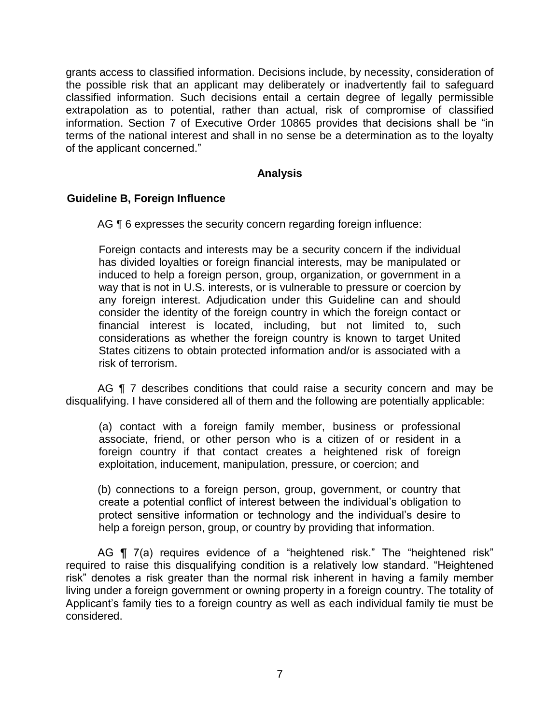grants access to classified information. Decisions include, by necessity, consideration of the possible risk that an applicant may deliberately or inadvertently fail to safeguard classified information. Such decisions entail a certain degree of legally permissible extrapolation as to potential, rather than actual, risk of compromise of classified information. Section 7 of Executive Order 10865 provides that decisions shall be "in terms of the national interest and shall in no sense be a determination as to the loyalty of the applicant concerned."

## **Analysis**

## **Guideline B, Foreign Influence**

AG ¶ 6 expresses the security concern regarding foreign influence:

Foreign contacts and interests may be a security concern if the individual has divided loyalties or foreign financial interests, may be manipulated or induced to help a foreign person, group, organization, or government in a way that is not in U.S. interests, or is vulnerable to pressure or coercion by any foreign interest. Adjudication under this Guideline can and should consider the identity of the foreign country in which the foreign contact or financial interest is located, including, but not limited to, such considerations as whether the foreign country is known to target United States citizens to obtain protected information and/or is associated with a risk of terrorism.

AG **[** 7 describes conditions that could raise a security concern and may be disqualifying. I have considered all of them and the following are potentially applicable:

(a) contact with a foreign family member, business or professional associate, friend, or other person who is a citizen of or resident in a foreign country if that contact creates a heightened risk of foreign exploitation, inducement, manipulation, pressure, or coercion; and

(b) connections to a foreign person, group, government, or country that create a potential conflict of interest between the individual's obligation to protect sensitive information or technology and the individual's desire to help a foreign person, group, or country by providing that information.

AG ¶ 7(a) requires evidence of a "heightened risk." The "heightened risk" required to raise this disqualifying condition is a relatively low standard. "Heightened risk" denotes a risk greater than the normal risk inherent in having a family member living under a foreign government or owning property in a foreign country. The totality of Applicant's family ties to a foreign country as well as each individual family tie must be considered.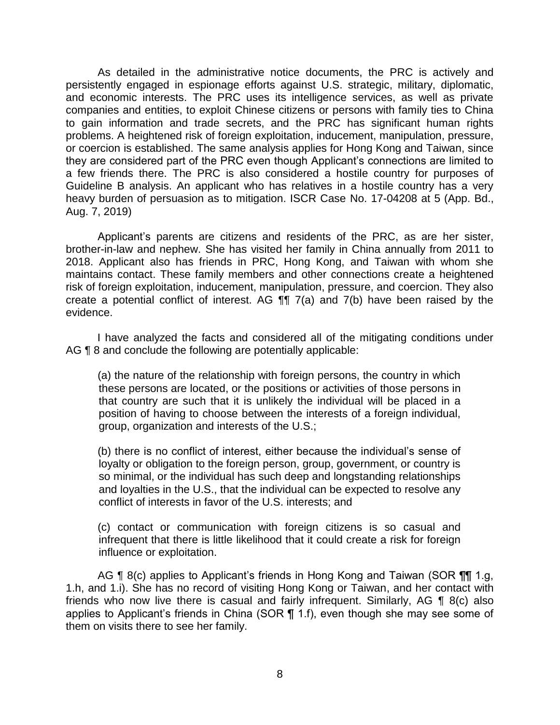As detailed in the administrative notice documents, the PRC is actively and persistently engaged in espionage efforts against U.S. strategic, military, diplomatic, and economic interests. The PRC uses its intelligence services, as well as private companies and entities, to exploit Chinese citizens or persons with family ties to China to gain information and trade secrets, and the PRC has significant human rights problems. A heightened risk of foreign exploitation, inducement, manipulation, pressure, or coercion is established. The same analysis applies for Hong Kong and Taiwan, since they are considered part of the PRC even though Applicant's connections are limited to a few friends there. The PRC is also considered a hostile country for purposes of Guideline B analysis. An applicant who has relatives in a hostile country has a very heavy burden of persuasion as to mitigation. ISCR Case No. 17-04208 at 5 (App. Bd., Aug. 7, 2019)

 Applicant's parents are citizens and residents of the PRC, as are her sister, brother-in-law and nephew. She has visited her family in China annually from 2011 to 2018. Applicant also has friends in PRC, Hong Kong, and Taiwan with whom she maintains contact. These family members and other connections create a heightened risk of foreign exploitation, inducement, manipulation, pressure, and coercion. They also create a potential conflict of interest. AG ¶¶ 7(a) and 7(b) have been raised by the evidence.

 I have analyzed the facts and considered all of the mitigating conditions under AG **[8** 8 and conclude the following are potentially applicable:

(a) the nature of the relationship with foreign persons, the country in which these persons are located, or the positions or activities of those persons in that country are such that it is unlikely the individual will be placed in a position of having to choose between the interests of a foreign individual, group, organization and interests of the U.S.;

(b) there is no conflict of interest, either because the individual's sense of loyalty or obligation to the foreign person, group, government, or country is so minimal, or the individual has such deep and longstanding relationships and loyalties in the U.S., that the individual can be expected to resolve any conflict of interests in favor of the U.S. interests; and

(c) contact or communication with foreign citizens is so casual and infrequent that there is little likelihood that it could create a risk for foreign influence or exploitation.

AG ¶ 8(c) applies to Applicant's friends in Hong Kong and Taiwan (SOR ¶¶ 1.g, 1.h, and 1.i). She has no record of visiting Hong Kong or Taiwan, and her contact with friends who now live there is casual and fairly infrequent. Similarly, AG ¶ 8(c) also applies to Applicant's friends in China (SOR ¶ 1.f), even though she may see some of them on visits there to see her family.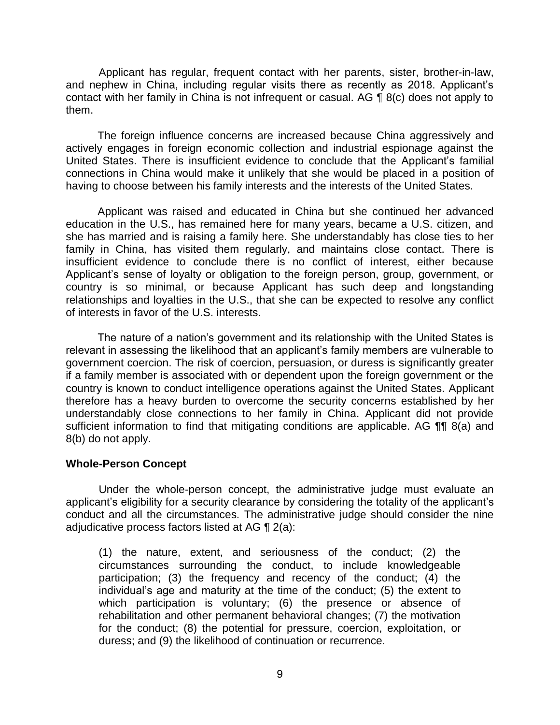and nephew in China, including regular visits there as recently as 2018. Applicant's contact with her family in China is not infrequent or casual. AG ¶ 8(c) does not apply to Applicant has regular, frequent contact with her parents, sister, brother-in-law, them.

 The foreign influence concerns are increased because China aggressively and actively engages in foreign economic collection and industrial espionage against the United States. There is insufficient evidence to conclude that the Applicant's familial connections in China would make it unlikely that she would be placed in a position of having to choose between his family interests and the interests of the United States.

 Applicant was raised and educated in China but she continued her advanced education in the U.S., has remained here for many years, became a U.S. citizen, and she has married and is raising a family here. She understandably has close ties to her family in China, has visited them regularly, and maintains close contact. There is insufficient evidence to conclude there is no conflict of interest, either because Applicant's sense of loyalty or obligation to the foreign person, group, government, or country is so minimal, or because Applicant has such deep and longstanding relationships and loyalties in the U.S., that she can be expected to resolve any conflict of interests in favor of the U.S. interests.

 The nature of a nation's government and its relationship with the United States is relevant in assessing the likelihood that an applicant's family members are vulnerable to government coercion. The risk of coercion, persuasion, or duress is significantly greater if a family member is associated with or dependent upon the foreign government or the country is known to conduct intelligence operations against the United States. Applicant therefore has a heavy burden to overcome the security concerns established by her understandably close connections to her family in China. Applicant did not provide sufficient information to find that mitigating conditions are applicable. AG ¶¶ 8(a) and 8(b) do not apply.

#### **Whole-Person Concept**

 Under the whole-person concept, the administrative judge must evaluate an applicant's eligibility for a security clearance by considering the totality of the applicant's conduct and all the circumstances. The administrative judge should consider the nine adjudicative process factors listed at AG ¶ 2(a):

(1) the nature, extent, and seriousness of the conduct; (2) the circumstances surrounding the conduct, to include knowledgeable participation; (3) the frequency and recency of the conduct; (4) the individual's age and maturity at the time of the conduct; (5) the extent to which participation is voluntary; (6) the presence or absence of rehabilitation and other permanent behavioral changes; (7) the motivation for the conduct; (8) the potential for pressure, coercion, exploitation, or duress; and (9) the likelihood of continuation or recurrence.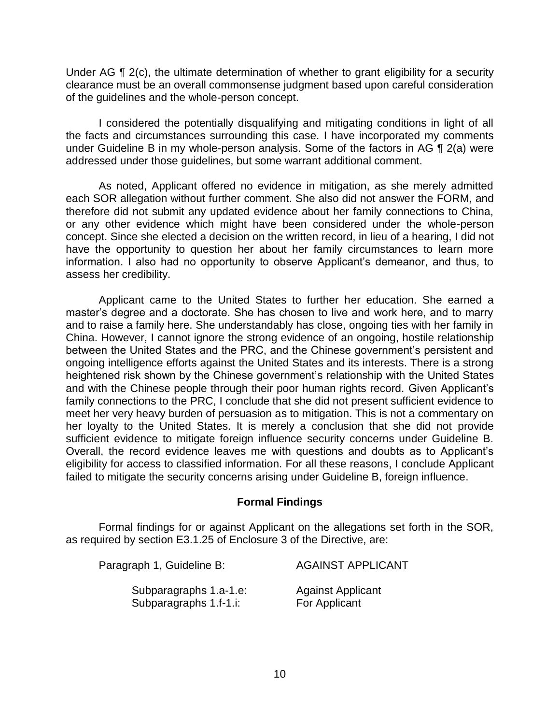Under AG ¶ 2(c), the ultimate determination of whether to grant eligibility for a security clearance must be an overall commonsense judgment based upon careful consideration of the guidelines and the whole-person concept.

 I considered the potentially disqualifying and mitigating conditions in light of all the facts and circumstances surrounding this case. I have incorporated my comments under Guideline B in my whole-person analysis. Some of the factors in AG ¶ 2(a) were addressed under those guidelines, but some warrant additional comment.

 As noted, Applicant offered no evidence in mitigation, as she merely admitted each SOR allegation without further comment. She also did not answer the FORM, and therefore did not submit any updated evidence about her family connections to China, or any other evidence which might have been considered under the whole-person concept. Since she elected a decision on the written record, in lieu of a hearing, I did not have the opportunity to question her about her family circumstances to learn more information. I also had no opportunity to observe Applicant's demeanor, and thus, to assess her credibility.

Applicant came to the United States to further her education. She earned a master's degree and a doctorate. She has chosen to live and work here, and to marry and to raise a family here. She understandably has close, ongoing ties with her family in China. However, I cannot ignore the strong evidence of an ongoing, hostile relationship between the United States and the PRC, and the Chinese government's persistent and ongoing intelligence efforts against the United States and its interests. There is a strong heightened risk shown by the Chinese government's relationship with the United States and with the Chinese people through their poor human rights record. Given Applicant's family connections to the PRC, I conclude that she did not present sufficient evidence to meet her very heavy burden of persuasion as to mitigation. This is not a commentary on her loyalty to the United States. It is merely a conclusion that she did not provide sufficient evidence to mitigate foreign influence security concerns under Guideline B. Overall, the record evidence leaves me with questions and doubts as to Applicant's eligibility for access to classified information. For all these reasons, I conclude Applicant failed to mitigate the security concerns arising under Guideline B, foreign influence.

# **Formal Findings**

 Formal findings for or against Applicant on the allegations set forth in the SOR, as required by section E3.1.25 of Enclosure 3 of the Directive, are:

| Paragraph 1, Guideline B: | <b>AGAINST APPLICANT</b> |
|---------------------------|--------------------------|
| Subparagraphs 1.a-1.e:    | <b>Against Applicant</b> |
| Subparagraphs 1.f-1.i:    | For Applicant            |